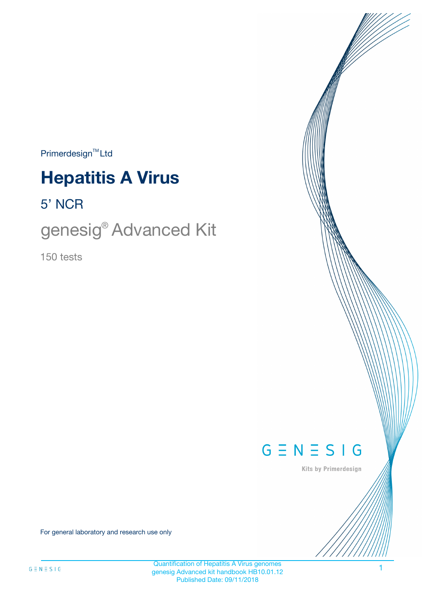$Primerdesign^{\text{TM}}Ltd$ 

# **Hepatitis A Virus**

5' NCR

genesig® Advanced Kit

150 tests



Kits by Primerdesign

For general laboratory and research use only

Quantification of Hepatitis A Virus genomes genesig Advanced kit handbook HB10.01.12 Published Date: 09/11/2018

1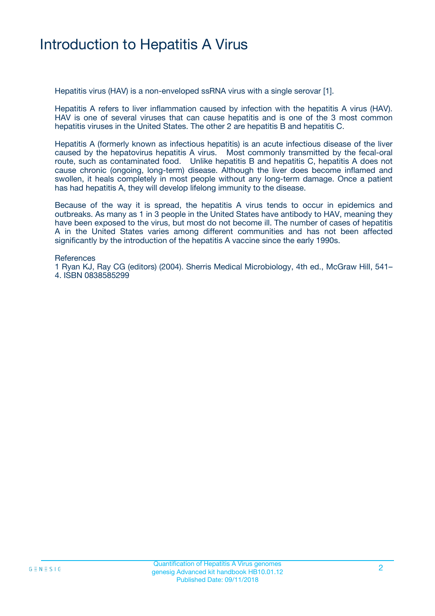### Introduction to Hepatitis A Virus

Hepatitis virus (HAV) is a non-enveloped ssRNA virus with a single serovar [1].

Hepatitis A refers to liver inflammation caused by infection with the hepatitis A virus (HAV). HAV is one of several viruses that can cause hepatitis and is one of the 3 most common hepatitis viruses in the United States. The other 2 are hepatitis B and hepatitis C.

Hepatitis A (formerly known as infectious hepatitis) is an acute infectious disease of the liver caused by the hepatovirus hepatitis A virus. Most commonly transmitted by the fecal-oral route, such as contaminated food. Unlike hepatitis B and hepatitis C, hepatitis A does not cause chronic (ongoing, long-term) disease. Although the liver does become inflamed and swollen, it heals completely in most people without any long-term damage. Once a patient has had hepatitis A, they will develop lifelong immunity to the disease.

Because of the way it is spread, the hepatitis A virus tends to occur in epidemics and outbreaks. As many as 1 in 3 people in the United States have antibody to HAV, meaning they have been exposed to the virus, but most do not become ill. The number of cases of hepatitis A in the United States varies among different communities and has not been affected significantly by the introduction of the hepatitis A vaccine since the early 1990s.

#### **References**

1 Ryan KJ, Ray CG (editors) (2004). Sherris Medical Microbiology, 4th ed., McGraw Hill, 541– 4. ISBN 0838585299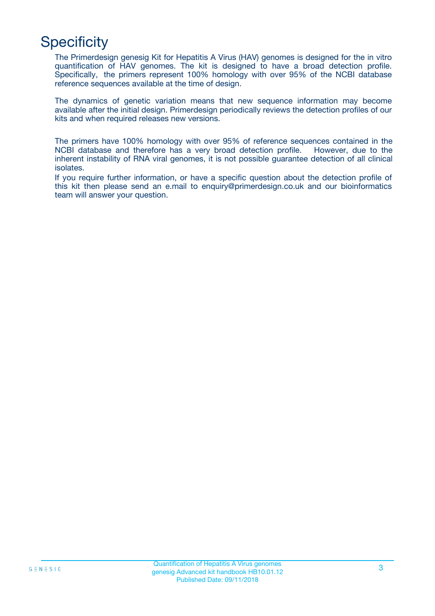## **Specificity**

The Primerdesign genesig Kit for Hepatitis A Virus (HAV) genomes is designed for the in vitro quantification of HAV genomes. The kit is designed to have a broad detection profile. Specifically, the primers represent 100% homology with over 95% of the NCBI database reference sequences available at the time of design.

The dynamics of genetic variation means that new sequence information may become available after the initial design. Primerdesign periodically reviews the detection profiles of our kits and when required releases new versions.

The primers have 100% homology with over 95% of reference sequences contained in the NCBI database and therefore has a very broad detection profile. However, due to the inherent instability of RNA viral genomes, it is not possible guarantee detection of all clinical isolates.

If you require further information, or have a specific question about the detection profile of this kit then please send an e.mail to enquiry@primerdesign.co.uk and our bioinformatics team will answer your question.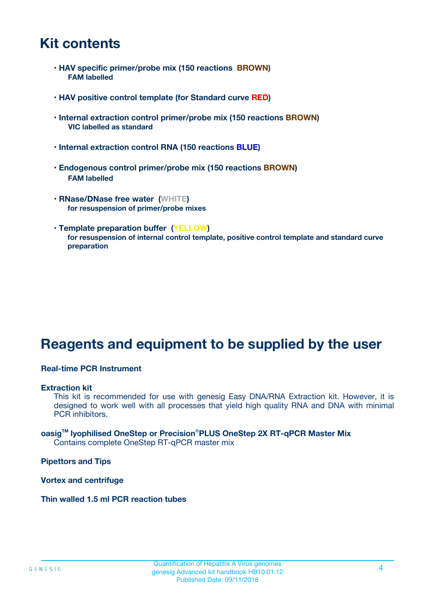### **Kit contents**

- **HAV specific primer/probe mix (150 reactions BROWN) FAM labelled**
- **HAV positive control template (for Standard curve RED)**
- **Internal extraction control primer/probe mix (150 reactions BROWN) VIC labelled as standard**
- **Internal extraction control RNA (150 reactions BLUE)**
- **Endogenous control primer/probe mix (150 reactions BROWN) FAM labelled**
- **RNase/DNase free water (WHITE) for resuspension of primer/probe mixes**
- **Template preparation buffer (YELLOW) for resuspension of internal control template, positive control template and standard curve preparation**

### **Reagents and equipment to be supplied by the user**

#### **Real-time PCR Instrument**

#### **Extraction kit**

This kit is recommended for use with genesig Easy DNA/RNA Extraction kit. However, it is designed to work well with all processes that yield high quality RNA and DNA with minimal PCR inhibitors.

#### **oasigTM lyophilised OneStep or Precision**®**PLUS OneStep 2X RT-qPCR Master Mix** Contains complete OneStep RT-qPCR master mix

**Pipettors and Tips**

**Vortex and centrifuge**

**Thin walled 1.5 ml PCR reaction tubes**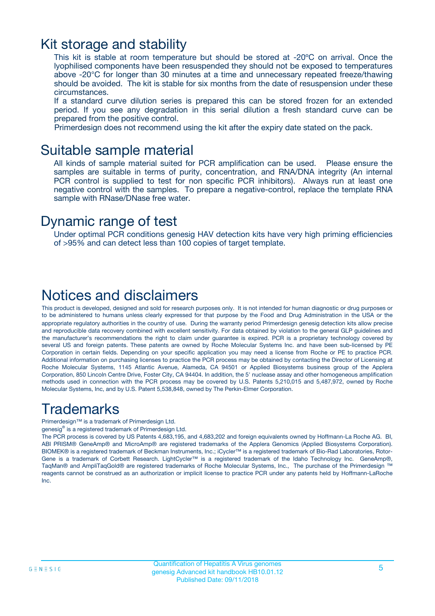### Kit storage and stability

This kit is stable at room temperature but should be stored at -20ºC on arrival. Once the lyophilised components have been resuspended they should not be exposed to temperatures above -20°C for longer than 30 minutes at a time and unnecessary repeated freeze/thawing should be avoided. The kit is stable for six months from the date of resuspension under these circumstances.

If a standard curve dilution series is prepared this can be stored frozen for an extended period. If you see any degradation in this serial dilution a fresh standard curve can be prepared from the positive control.

Primerdesign does not recommend using the kit after the expiry date stated on the pack.

### Suitable sample material

All kinds of sample material suited for PCR amplification can be used. Please ensure the samples are suitable in terms of purity, concentration, and RNA/DNA integrity (An internal PCR control is supplied to test for non specific PCR inhibitors). Always run at least one negative control with the samples. To prepare a negative-control, replace the template RNA sample with RNase/DNase free water.

### Dynamic range of test

Under optimal PCR conditions genesig HAV detection kits have very high priming efficiencies of >95% and can detect less than 100 copies of target template.

### Notices and disclaimers

This product is developed, designed and sold for research purposes only. It is not intended for human diagnostic or drug purposes or to be administered to humans unless clearly expressed for that purpose by the Food and Drug Administration in the USA or the appropriate regulatory authorities in the country of use. During the warranty period Primerdesign genesig detection kits allow precise and reproducible data recovery combined with excellent sensitivity. For data obtained by violation to the general GLP guidelines and the manufacturer's recommendations the right to claim under guarantee is expired. PCR is a proprietary technology covered by several US and foreign patents. These patents are owned by Roche Molecular Systems Inc. and have been sub-licensed by PE Corporation in certain fields. Depending on your specific application you may need a license from Roche or PE to practice PCR. Additional information on purchasing licenses to practice the PCR process may be obtained by contacting the Director of Licensing at Roche Molecular Systems, 1145 Atlantic Avenue, Alameda, CA 94501 or Applied Biosystems business group of the Applera Corporation, 850 Lincoln Centre Drive, Foster City, CA 94404. In addition, the 5' nuclease assay and other homogeneous amplification methods used in connection with the PCR process may be covered by U.S. Patents 5,210,015 and 5,487,972, owned by Roche Molecular Systems, Inc, and by U.S. Patent 5,538,848, owned by The Perkin-Elmer Corporation.

### Trademarks

Primerdesign™ is a trademark of Primerdesign Ltd.

genesig® is a registered trademark of Primerdesign Ltd.

The PCR process is covered by US Patents 4,683,195, and 4,683,202 and foreign equivalents owned by Hoffmann-La Roche AG. BI, ABI PRISM® GeneAmp® and MicroAmp® are registered trademarks of the Applera Genomics (Applied Biosystems Corporation). BIOMEK® is a registered trademark of Beckman Instruments, Inc.; iCycler™ is a registered trademark of Bio-Rad Laboratories, Rotor-Gene is a trademark of Corbett Research. LightCycler™ is a registered trademark of the Idaho Technology Inc. GeneAmp®, TaqMan® and AmpliTaqGold® are registered trademarks of Roche Molecular Systems, Inc., The purchase of the Primerdesign ™ reagents cannot be construed as an authorization or implicit license to practice PCR under any patents held by Hoffmann-LaRoche Inc.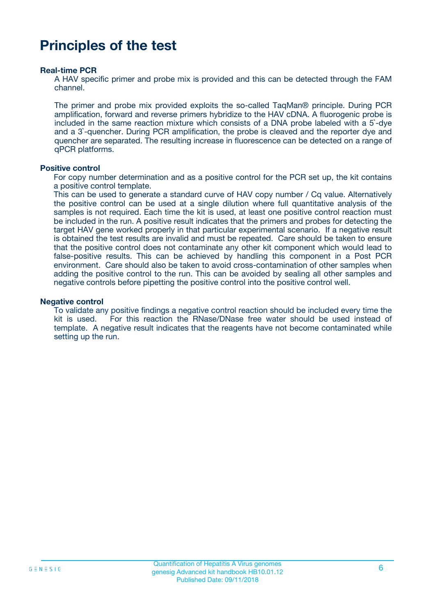### **Principles of the test**

#### **Real-time PCR**

A HAV specific primer and probe mix is provided and this can be detected through the FAM channel.

The primer and probe mix provided exploits the so-called TaqMan® principle. During PCR amplification, forward and reverse primers hybridize to the HAV cDNA. A fluorogenic probe is included in the same reaction mixture which consists of a DNA probe labeled with a 5`-dye and a 3`-quencher. During PCR amplification, the probe is cleaved and the reporter dye and quencher are separated. The resulting increase in fluorescence can be detected on a range of qPCR platforms.

#### **Positive control**

For copy number determination and as a positive control for the PCR set up, the kit contains a positive control template.

This can be used to generate a standard curve of HAV copy number / Cq value. Alternatively the positive control can be used at a single dilution where full quantitative analysis of the samples is not required. Each time the kit is used, at least one positive control reaction must be included in the run. A positive result indicates that the primers and probes for detecting the target HAV gene worked properly in that particular experimental scenario. If a negative result is obtained the test results are invalid and must be repeated. Care should be taken to ensure that the positive control does not contaminate any other kit component which would lead to false-positive results. This can be achieved by handling this component in a Post PCR environment. Care should also be taken to avoid cross-contamination of other samples when adding the positive control to the run. This can be avoided by sealing all other samples and negative controls before pipetting the positive control into the positive control well.

#### **Negative control**

To validate any positive findings a negative control reaction should be included every time the kit is used. For this reaction the RNase/DNase free water should be used instead of template. A negative result indicates that the reagents have not become contaminated while setting up the run.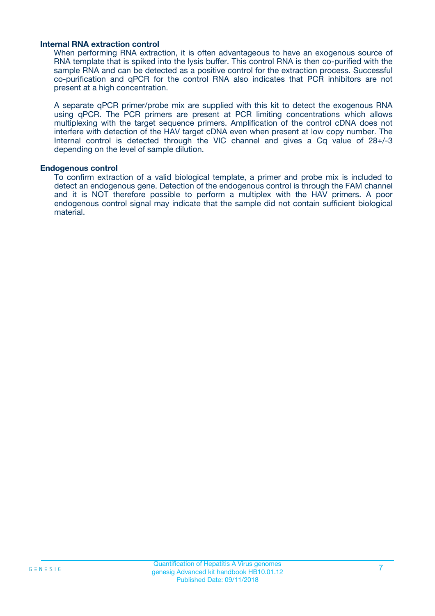#### **Internal RNA extraction control**

When performing RNA extraction, it is often advantageous to have an exogenous source of RNA template that is spiked into the lysis buffer. This control RNA is then co-purified with the sample RNA and can be detected as a positive control for the extraction process. Successful co-purification and qPCR for the control RNA also indicates that PCR inhibitors are not present at a high concentration.

A separate qPCR primer/probe mix are supplied with this kit to detect the exogenous RNA using qPCR. The PCR primers are present at PCR limiting concentrations which allows multiplexing with the target sequence primers. Amplification of the control cDNA does not interfere with detection of the HAV target cDNA even when present at low copy number. The Internal control is detected through the VIC channel and gives a Cq value of 28+/-3 depending on the level of sample dilution.

#### **Endogenous control**

To confirm extraction of a valid biological template, a primer and probe mix is included to detect an endogenous gene. Detection of the endogenous control is through the FAM channel and it is NOT therefore possible to perform a multiplex with the HAV primers. A poor endogenous control signal may indicate that the sample did not contain sufficient biological material.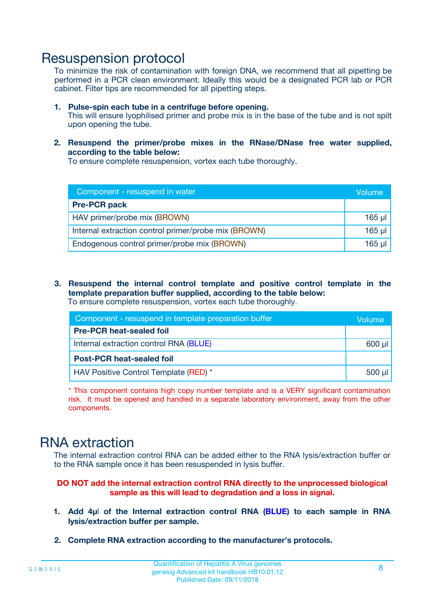### Resuspension protocol

To minimize the risk of contamination with foreign DNA, we recommend that all pipetting be performed in a PCR clean environment. Ideally this would be a designated PCR lab or PCR cabinet. Filter tips are recommended for all pipetting steps.

- **1. Pulse-spin each tube in a centrifuge before opening.** This will ensure lyophilised primer and probe mix is in the base of the tube and is not spilt upon opening the tube.
- **2. Resuspend the primer/probe mixes in the RNase/DNase free water supplied, according to the table below:**

To ensure complete resuspension, vortex each tube thoroughly.

| Component - resuspend in water                       | Volume   |
|------------------------------------------------------|----------|
| <b>Pre-PCR pack</b>                                  |          |
| HAV primer/probe mix (BROWN)                         | $165$ µl |
| Internal extraction control primer/probe mix (BROWN) | $165$ µl |
| Endogenous control primer/probe mix (BROWN)          | 165 µl   |

**3. Resuspend the internal control template and positive control template in the template preparation buffer supplied, according to the table below:** To ensure complete resuspension, vortex each tube thoroughly.

| Component - resuspend in template preparation buffer |             |  |  |
|------------------------------------------------------|-------------|--|--|
| <b>Pre-PCR heat-sealed foil</b>                      |             |  |  |
| Internal extraction control RNA (BLUE)               |             |  |  |
| <b>Post-PCR heat-sealed foil</b>                     |             |  |  |
| HAV Positive Control Template (RED) *                | $500$ $\mu$ |  |  |

\* This component contains high copy number template and is a VERY significant contamination risk. It must be opened and handled in a separate laboratory environment, away from the other components.

### RNA extraction

The internal extraction control RNA can be added either to the RNA lysis/extraction buffer or to the RNA sample once it has been resuspended in lysis buffer.

#### **DO NOT add the internal extraction control RNA directly to the unprocessed biological sample as this will lead to degradation and a loss in signal.**

- **1. Add 4µ**l **of the Internal extraction control RNA (BLUE) to each sample in RNA lysis/extraction buffer per sample.**
- **2. Complete RNA extraction according to the manufacturer's protocols.**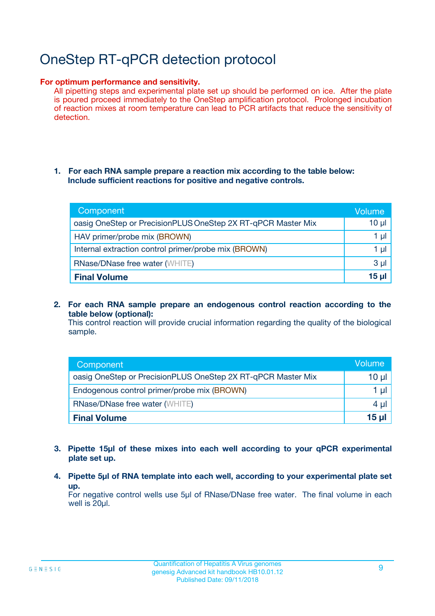# OneStep RT-qPCR detection protocol

#### **For optimum performance and sensitivity.**

All pipetting steps and experimental plate set up should be performed on ice. After the plate is poured proceed immediately to the OneStep amplification protocol. Prolonged incubation of reaction mixes at room temperature can lead to PCR artifacts that reduce the sensitivity of detection.

#### **1. For each RNA sample prepare a reaction mix according to the table below: Include sufficient reactions for positive and negative controls.**

| Component                                                    | Volume   |
|--------------------------------------------------------------|----------|
| oasig OneStep or PrecisionPLUS OneStep 2X RT-qPCR Master Mix | $10 \mu$ |
| HAV primer/probe mix (BROWN)                                 | 1 µI     |
| Internal extraction control primer/probe mix (BROWN)         | 1 µl     |
| <b>RNase/DNase free water (WHITE)</b>                        | $3 \mu$  |
| <b>Final Volume</b>                                          | 15 ul    |

**2. For each RNA sample prepare an endogenous control reaction according to the table below (optional):**

This control reaction will provide crucial information regarding the quality of the biological sample.

| Component                                                    | Volume   |
|--------------------------------------------------------------|----------|
| oasig OneStep or PrecisionPLUS OneStep 2X RT-qPCR Master Mix | 10 $\mu$ |
| Endogenous control primer/probe mix (BROWN)                  | 1 ul     |
| <b>RNase/DNase free water (WHITE)</b>                        | $4 \mu$  |
| <b>Final Volume</b>                                          | 15 µl    |

- **3. Pipette 15µl of these mixes into each well according to your qPCR experimental plate set up.**
- **4. Pipette 5µl of RNA template into each well, according to your experimental plate set up.**

For negative control wells use 5µl of RNase/DNase free water. The final volume in each well is 20µl.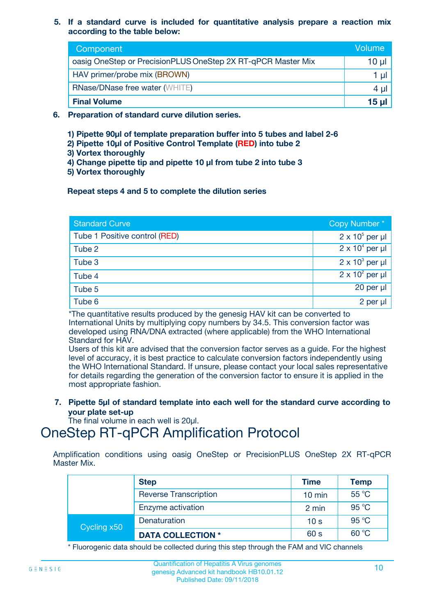#### **5. If a standard curve is included for quantitative analysis prepare a reaction mix according to the table below:**

| Component                                                    | Volume |
|--------------------------------------------------------------|--------|
| oasig OneStep or PrecisionPLUS OneStep 2X RT-qPCR Master Mix | 10 µl  |
| HAV primer/probe mix (BROWN)                                 |        |
| <b>RNase/DNase free water (WHITE)</b>                        | 4 µl   |
| <b>Final Volume</b>                                          | 15 ul  |

- **6. Preparation of standard curve dilution series.**
	- **1) Pipette 90µl of template preparation buffer into 5 tubes and label 2-6**
	- **2) Pipette 10µl of Positive Control Template (RED) into tube 2**
	- **3) Vortex thoroughly**
	- **4) Change pipette tip and pipette 10 µl from tube 2 into tube 3**
	- **5) Vortex thoroughly**

#### **Repeat steps 4 and 5 to complete the dilution series**

| <b>Standard Curve</b>         | Copy Number*           |
|-------------------------------|------------------------|
| Tube 1 Positive control (RED) | $2 \times 10^5$ per µl |
| Tube 2                        | $2 \times 10^4$ per µl |
| Tube 3                        | $2 \times 10^3$ per µl |
| Tube 4                        | $2 \times 10^2$ per µl |
| Tube 5                        | 20 per µl              |
| Tube 6                        | 2 per µl               |

\*The quantitative results produced by the genesig HAV kit can be converted to International Units by multiplying copy numbers by 34.5. This conversion factor was developed using RNA/DNA extracted (where applicable) from the WHO International Standard for HAV.

Users of this kit are advised that the conversion factor serves as a guide. For the highest level of accuracy, it is best practice to calculate conversion factors independently using the WHO International Standard. If unsure, please contact your local sales representative for details regarding the generation of the conversion factor to ensure it is applied in the most appropriate fashion.

**7. Pipette 5µl of standard template into each well for the standard curve according to your plate set-up**

The final volume in each well is 20ul.

### OneStep RT-qPCR Amplification Protocol

Amplification conditions using oasig OneStep or PrecisionPLUS OneStep 2X RT-qPCR Master Mix.

|             | <b>Step</b>                  | <b>Time</b>      | <b>Temp</b> |
|-------------|------------------------------|------------------|-------------|
|             | <b>Reverse Transcription</b> | $10 \text{ min}$ | 55 °C       |
|             | Enzyme activation            | 2 min            | 95 °C       |
| Cycling x50 | Denaturation                 | 10 <sub>s</sub>  | 95 °C       |
|             | <b>DATA COLLECTION *</b>     | 60 s             | 60 °C       |

\* Fluorogenic data should be collected during this step through the FAM and VIC channels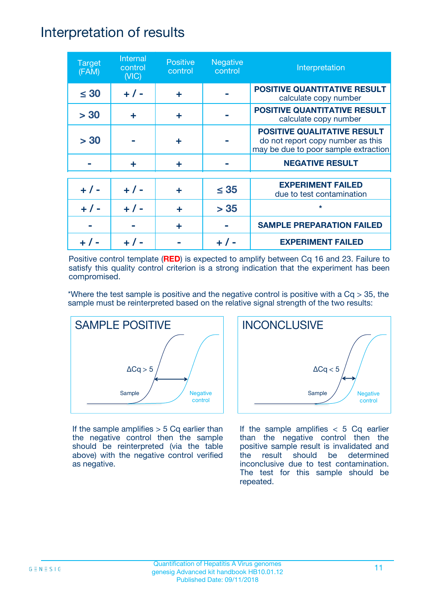### Interpretation of results

| <b>Target</b><br>(FAM) | Internal<br>control<br>(NIC) | <b>Positive</b><br>control | <b>Negative</b><br>control | Interpretation                                                                                                  |
|------------------------|------------------------------|----------------------------|----------------------------|-----------------------------------------------------------------------------------------------------------------|
| $\leq 30$              | $+ 1 -$                      | ÷                          |                            | <b>POSITIVE QUANTITATIVE RESULT</b><br>calculate copy number                                                    |
| > 30                   | ÷                            | ÷                          |                            | <b>POSITIVE QUANTITATIVE RESULT</b><br>calculate copy number                                                    |
| > 30                   |                              | ÷                          |                            | <b>POSITIVE QUALITATIVE RESULT</b><br>do not report copy number as this<br>may be due to poor sample extraction |
|                        | ÷                            | ÷                          |                            | <b>NEGATIVE RESULT</b>                                                                                          |
| $+ 1 -$                | $+ 1 -$                      | ÷                          | $\leq$ 35                  | <b>EXPERIMENT FAILED</b><br>due to test contamination                                                           |
|                        | $+ 1 -$                      |                            | > 35                       | $\star$                                                                                                         |
|                        |                              | ÷                          |                            | <b>SAMPLE PREPARATION FAILED</b>                                                                                |
|                        |                              |                            |                            | <b>EXPERIMENT FAILED</b>                                                                                        |

Positive control template (**RED**) is expected to amplify between Cq 16 and 23. Failure to satisfy this quality control criterion is a strong indication that the experiment has been compromised.

\*Where the test sample is positive and the negative control is positive with a  $Cq > 35$ , the sample must be reinterpreted based on the relative signal strength of the two results:



If the sample amplifies  $> 5$  Cq earlier than the negative control then the sample should be reinterpreted (via the table above) with the negative control verified as negative.



If the sample amplifies  $< 5$  Cq earlier than the negative control then the positive sample result is invalidated and the result should be determined inconclusive due to test contamination. The test for this sample should be repeated.